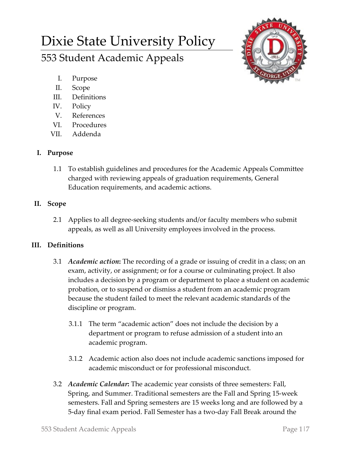# Dixie State University Policy 553 Student Academic Appeals



- I. Purpose
- II. Scope
- III. Definitions
- IV. Policy
- V. References
- VI. Procedures
- VII. Addenda

## **I. Purpose**

1.1 To establish guidelines and procedures for the Academic Appeals Committee charged with reviewing appeals of graduation requirements, General Education requirements, and academic actions.

## **II. Scope**

2.1 Applies to all degree-seeking students and/or faculty members who submit appeals, as well as all University employees involved in the process.

## **III. Definitions**

- 3.1 *Academic action***:** The recording of a grade or issuing of credit in a class; on an exam, activity, or assignment; or for a course or culminating project. It also includes a decision by a program or department to place a student on academic probation, or to suspend or dismiss a student from an academic program because the student failed to meet the relevant academic standards of the discipline or program.
	- 3.1.1 The term "academic action" does not include the decision by a department or program to refuse admission of a student into an academic program.
	- 3.1.2 Academic action also does not include academic sanctions imposed for academic misconduct or for professional misconduct.
- 3.2 *Academic Calendar***:** The academic year consists of three semesters: Fall, Spring, and Summer. Traditional semesters are the Fall and Spring 15-week semesters. Fall and Spring semesters are 15 weeks long and are followed by a 5-day final exam period. Fall Semester has a two-day Fall Break around the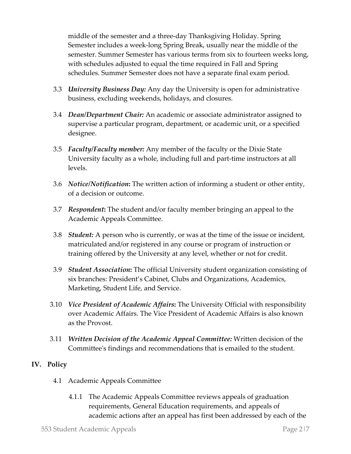middle of the semester and a three-day Thanksgiving Holiday. Spring Semester includes a week-long Spring Break, usually near the middle of the semester. Summer Semester has various terms from six to fourteen weeks long, with schedules adjusted to equal the time required in Fall and Spring schedules. Summer Semester does not have a separate final exam period.

- 3.3 *University Business Day:* Any day the University is open for administrative business, excluding weekends, holidays, and closures.
- 3.4 *Dean/Department Chair:* An academic or associate administrator assigned to supervise a particular program, department, or academic unit, or a specified designee.
- 3.5 *Faculty/Faculty member:* Any member of the faculty or the Dixie State University faculty as a whole, including full and part-time instructors at all levels.
- 3.6 *Notice/Notification***:** The written action of informing a student or other entity, of a decision or outcome.
- 3.7 *Respondent***:** The student and/or faculty member bringing an appeal to the Academic Appeals Committee.
- 3.8 *Student:* A person who is currently, or was at the time of the issue or incident, matriculated and/or registered in any course or program of instruction or training offered by the University at any level, whether or not for credit.
- 3.9 *Student Association***:** The official University student organization consisting of six branches: President's Cabinet, Clubs and Organizations, Academics, Marketing, Student Life, and Service.
- 3.10 *Vice President of Academic Affairs***:** The University Official with responsibility over Academic Affairs. The Vice President of Academic Affairs is also known as the Provost.
- 3.11 *Written Decision of the Academic Appeal Committee:* Written decision of the Committee's findings and recommendations that is emailed to the student.

### **IV. Policy**

- 4.1 Academic Appeals Committee
	- 4.1.1 The Academic Appeals Committee reviews appeals of graduation requirements, General Education requirements, and appeals of academic actions after an appeal has first been addressed by each of the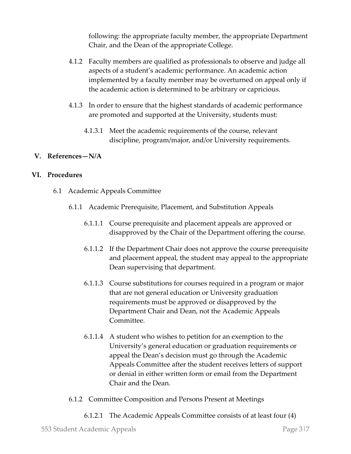following: the appropriate faculty member, the appropriate Department Chair, and the Dean of the appropriate College.

- 4.1.2 Faculty members are qualified as professionals to observe and judge all aspects of a student's academic performance. An academic action implemented by a faculty member may be overturned on appeal only if the academic action is determined to be arbitrary or capricious.
- 4.1.3 In order to ensure that the highest standards of academic performance are promoted and supported at the University, students must:
	- 4.1.3.1 Meet the academic requirements of the course, relevant discipline, program/major, and/or University requirements.

#### **V. References—N/A**

#### **VI. Procedures**

- 6.1 Academic Appeals Committee
	- 6.1.1 Academic Prerequisite, Placement, and Substitution Appeals
		- 6.1.1.1 Course prerequisite and placement appeals are approved or disapproved by the Chair of the Department offering the course.
		- 6.1.1.2 If the Department Chair does not approve the course prerequisite and placement appeal, the student may appeal to the appropriate Dean supervising that department.
		- 6.1.1.3 Course substitutions for courses required in a program or major that are not general education or University graduation requirements must be approved or disapproved by the Department Chair and Dean, not the Academic Appeals Committee.
		- 6.1.1.4 A student who wishes to petition for an exemption to the University's general education or graduation requirements or appeal the Dean's decision must go through the Academic Appeals Committee after the student receives letters of support or denial in either written form or email from the Department Chair and the Dean.
	- 6.1.2 Committee Composition and Persons Present at Meetings
		- 6.1.2.1 The Academic Appeals Committee consists of at least four (4)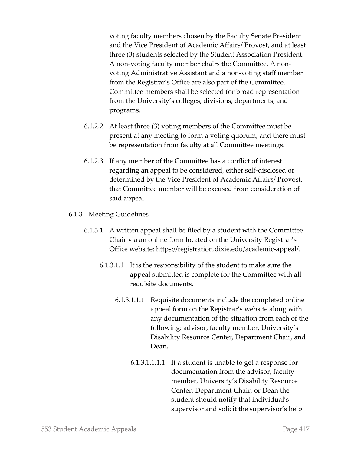voting faculty members chosen by the Faculty Senate President and the Vice President of Academic Affairs/ Provost, and at least three (3) students selected by the Student Association President. A non-voting faculty member chairs the Committee. A nonvoting Administrative Assistant and a non-voting staff member from the Registrar's Office are also part of the Committee. Committee members shall be selected for broad representation from the University's colleges, divisions, departments, and programs.

- 6.1.2.2 At least three (3) voting members of the Committee must be present at any meeting to form a voting quorum, and there must be representation from faculty at all Committee meetings.
- 6.1.2.3 If any member of the Committee has a conflict of interest regarding an appeal to be considered, either self-disclosed or determined by the Vice President of Academic Affairs/ Provost, that Committee member will be excused from consideration of said appeal.
- 6.1.3 Meeting Guidelines
	- 6.1.3.1 A written appeal shall be filed by a student with the Committee Chair via an online form located on the University Registrar's Office website: https://registration.dixie.edu/academic-appeal/.
		- 6.1.3.1.1 It is the responsibility of the student to make sure the appeal submitted is complete for the Committee with all requisite documents.
			- 6.1.3.1.1.1 Requisite documents include the completed online appeal form on the Registrar's website along with any documentation of the situation from each of the following: advisor, faculty member, University's Disability Resource Center, Department Chair, and Dean.
				- 6.1.3.1.1.1.1 If a student is unable to get a response for documentation from the advisor, faculty member, University's Disability Resource Center, Department Chair, or Dean the student should notify that individual's supervisor and solicit the supervisor's help.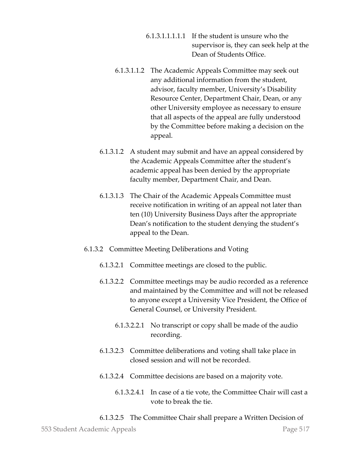- 6.1.3.1.1.1.1.1 If the student is unsure who the supervisor is, they can seek help at the Dean of Students Office.
- 6.1.3.1.1.2 The Academic Appeals Committee may seek out any additional information from the student, advisor, faculty member, University's Disability Resource Center, Department Chair, Dean, or any other University employee as necessary to ensure that all aspects of the appeal are fully understood by the Committee before making a decision on the appeal.
- 6.1.3.1.2 A student may submit and have an appeal considered by the Academic Appeals Committee after the student's academic appeal has been denied by the appropriate faculty member, Department Chair, and Dean.
- 6.1.3.1.3 The Chair of the Academic Appeals Committee must receive notification in writing of an appeal not later than ten (10) University Business Days after the appropriate Dean's notification to the student denying the student's appeal to the Dean.
- 6.1.3.2 Committee Meeting Deliberations and Voting
	- 6.1.3.2.1 Committee meetings are closed to the public.
	- 6.1.3.2.2 Committee meetings may be audio recorded as a reference and maintained by the Committee and will not be released to anyone except a University Vice President, the Office of General Counsel, or University President.
		- 6.1.3.2.2.1 No transcript or copy shall be made of the audio recording.
	- 6.1.3.2.3 Committee deliberations and voting shall take place in closed session and will not be recorded.
	- 6.1.3.2.4 Committee decisions are based on a majority vote.
		- 6.1.3.2.4.1 In case of a tie vote, the Committee Chair will cast a vote to break the tie.

#### 6.1.3.2.5 The Committee Chair shall prepare a Written Decision of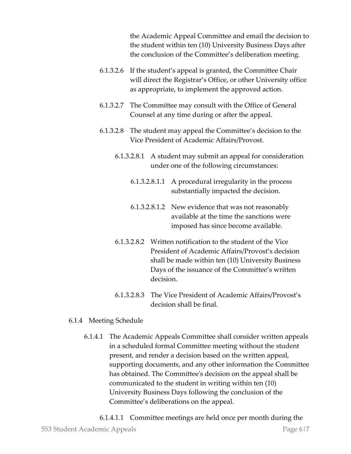the Academic Appeal Committee and email the decision to the student within ten (10) University Business Days after the conclusion of the Committee's deliberation meeting.

- 6.1.3.2.6 If the student's appeal is granted, the Committee Chair will direct the Registrar's Office, or other University office as appropriate, to implement the approved action.
- 6.1.3.2.7 The Committee may consult with the Office of General Counsel at any time during or after the appeal.
- 6.1.3.2.8 The student may appeal the Committee's decision to the Vice President of Academic Affairs/Provost.
	- 6.1.3.2.8.1 A student may submit an appeal for consideration under one of the following circumstances:
		- 6.1.3.2.8.1.1 A procedural irregularity in the process substantially impacted the decision.
		- 6.1.3.2.8.1.2 New evidence that was not reasonably available at the time the sanctions were imposed has since become available.
	- 6.1.3.2.8.2 Written notification to the student of the Vice President of Academic Affairs/Provost's decision shall be made within ten (10) University Business Days of the issuance of the Committee's written decision.
	- 6.1.3.2.8.3 The Vice President of Academic Affairs/Provost's decision shall be final.

#### 6.1.4 Meeting Schedule

6.1.4.1 The Academic Appeals Committee shall consider written appeals in a scheduled formal Committee meeting without the student present, and render a decision based on the written appeal, supporting documents, and any other information the Committee has obtained. The Committee's decision on the appeal shall be communicated to the student in writing within ten (10) University Business Days following the conclusion of the Committee's deliberations on the appeal.

553 Student Academic Appeals Page 6|7 6.1.4.1.1 Committee meetings are held once per month during the